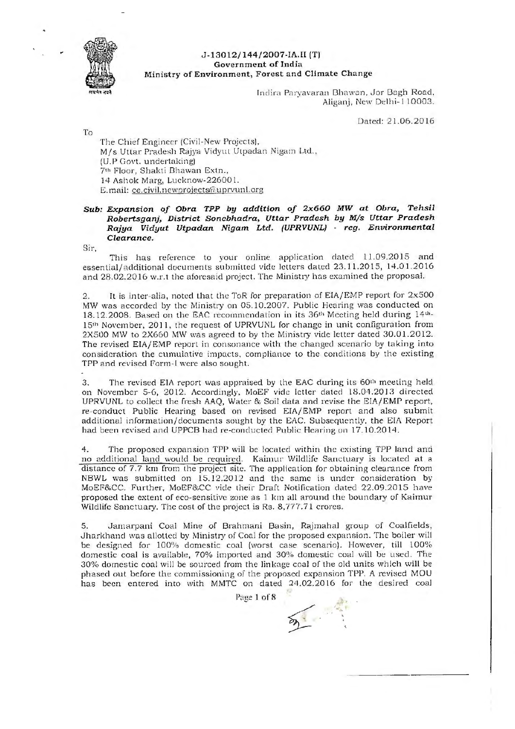

## I **J-13012/ 144/2007-IA.II (T) Gove rnme nt of India Minist ry o f Environme nt, Forest and Climate Change**

Indira Paryavaran Bhawan, Jor Bagh Road, Aliganj, New Oelhi- 110003.

Dated: 2 1.06.2016

To

The Chief Engineer (Civil-New Projects), M/s Uttar Pradesh Rajya Vidyut Utpadan Nigam Ltd., (U.P Govt. undertaking) 7<sup>th</sup> Floor, Shakti Bhawan Extn., 14 Ashok Marg, Lucknow-226001. E.mail: ce.civil.newprojects@uprvunl.org

## *Sub: Expansion of Obra TPP by addition of 2x660 MW at Obra, Tehsil Robertsganj, District Sonebhadra, Uttar Pradesh by M/s Uttar Pradesh Rajya Vidyut Utpadan Nigam Ltd. (UPRVUNL)* - *reg. Environmental Clearance.*

Sir,

This has reference to your online application dated 11.09.2015 and essential/additional documents submitted vide letters dated 23.11.2015, 14.01.2016 and 28.02.2016 w.r.t the aforesaid project. The Ministry has examined the proposal.

2. It is inter-alia, noted that the ToR for preparation of  $EIA/EMP$  report for  $2x500$ MW was accorded by the Ministry on 05.10.2007. Public Hearing was conducted on 18.12.2008. Based on the EAC recommendation in its 36<sup>th</sup> Meeting held during 14<sup>th</sup>-15<sup>th</sup> November, 2011, the request of UPRVUNL for change in unit configuration from 2X500 MW to 2X660 MW was agreed to by the Ministry vide letter dated 30.01.2012. The revised EIA/EMP report in consonance with the changed scenario by taking into consideration the cumulative impacts, compliance to the conditions by the existing TPP and revised Form-I were also sought.

3. The revised EIA report was appraised by the EAC during its 60<sup>th</sup> meeting held on November 5-6, 2012. Accordingly, MoEF vide letter dated 18.04.2013 directed UPRVUNL to collect the fresh AAQ, Water & Soil data and revise the EIA/EMP report, re-conduct Public Hearing based on revised EIA/EMP report and also submit additional information/documents sought by the EAC. Subsequently, the EIA Report had been revised and UPPCB had re-conducted Public Hearing on 17.10.2014.

4. The proposed expansion TPP will be located within the existing TPP land and no additional land would be required. Kaimur Wildlife Sanctuary is located at a distance of 7.7 km from the project site. The application for obtaining clearance from NBWL was submitted on 15.12.2012 and the same is under consideration by MoEF&CC. Further, MoEF&CC vide their Draft Notification dated 22.09.2015 h ave proposed the extent of eco-sensitive zone as 1 km all around the boundary of Kaimur Wildlife Sanctuary. The cost of the project is Rs. 8,777.71 crores.

5. Jamarpani Coal Mine of Brahmani Basin, Rajmahal group of Coalfields, Jharkhand was allotted by Ministry of Coal for the proposed expansion. The boiler will be designed for 100% domestic coal (worst case scenario). However, till 100% domestic coal is available, 70% imported and 30% domestic coal will be used. The 30% domestic coal will be sourced from the linkage coal of the old units which will be phased out before the commissioning of the proposed expansion TPP. A revised MOU has been entered into with MMTC on dated 24.02.2016 for the desired coal

Page 1 of 8

 $\sum_{i=1}^{n}$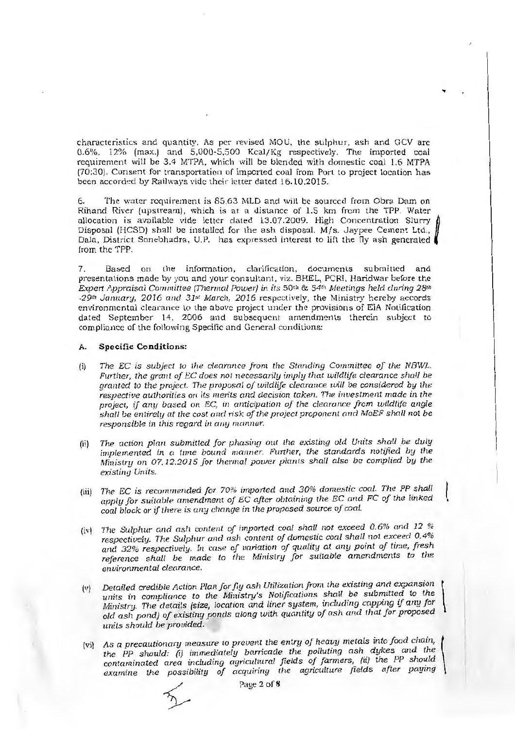characteristics and quantity. As per revised MOU, the sulphur, ash and GCV are 0.6%, 12% (max.) and 5,000-5,500 Kcal/Kg respectively. The imported coal requirement will be 3.4 MTPA, which will be blended with domestic coal 1.6 MTPA (70:30). Consent for transportation of imported coal from Port to project location has been accorded by Railways vide their letter dated 16.10.2015.

..

6. The water requirement is 85.63 MLD and will be sourced from Obra Dam on Rihand River (upstream), which is at a distance of 1.5 km from the TPP. Water allocation is available vide letter dated 13.07.2009. High Concentration Slurry Disposal (HCSD) shall be installed for the ash disposal. M/s. Jaypee Cemen! Ltd., Dala, District Sonebhadra, U.P. has expressed interest to lift the fly ash generated from the TPP.

7. Based on the information, clarification, documents submitted and presenta tions made by you and your consultant, viz. BHEL, PCRI, Haridwar before the *Expert /\ppraisal Committee (Thermal Power)* in *its* 501" & *541" Meerings held during* 28th 29<sup>th</sup> January, 2016 and 31st March, 2016 respectively, the Ministry hereby accords environmental clearance to the above project under the provisions of ElA Notification dated September 14, 2006 and subsequent amendments therein subject to compliance of the following Specific and General conditions:

## **A. Specific Conditions:**

- (ii *The EC* is *subject to the clearance from the Standing Committee of the NBWL. Further, the grant of EC* does *r1ot necessarily imply that wildlife clearance shall be granted to the project. The proposal of wildlife clearance will be considered by the respective authorities on* its *merits and decision taken. The investment made in the project, if any based on EC, in anticipation of the clearance from wildlife angie shall be entirely at the cost and n·s k of the project proponent and MoEF shall* not *be responsible in this regard in any manner.*
- (ii) The action plan submitted for phasing out the existing old Units shall be duly *implemented in a time bound manner. Further, the standards notified by the Ministry* 011 07.12.2015 *for thermal power plants shall also be complied by the existing Units.*
- (iii) The EC is recommended for 70% imported and 30% domestic coal. The PP shall apply for suitable amendment of EC after obtaining the EC and FC of the linked *coal block or if there* is *any change in the proposed source of coal.*
- (iv) *The Sulphur and* ash *content of imported coal shall not exceed* 0.6% *and* 12 *% respectively. The Sulphur and ash content of* domestic *coal shall not exceed* 0.4% *and* 32'}o *respectively. In* case *of uariation of quality at any point of time, fresh*  reference shall be made to the Ministry for suitable amendments to the *enuironmenta.l clearance.*
- (v) *Detailed credible Action Plan for fly* ash *Utilization from the existing anrl expansion* \ units in compliance to the Ministry's Notifications shall be submitted to the *Ministry. The details (size, location and liner system, including capping if any for old ash pond) of existing ponds along with quantity of ash and that for proposed units should be provided.*
- vi) As a precautionary measure to prevent the entry of heavy metals into food chain,  $\vert$ *the pp should: (i) immediately banicade the polluting nsh dykes and the contaminated area including agricultural fields of farmers, (ii) the PP should examine the possibility of acquiring the agriculture fields after paying*

Page 2 of 8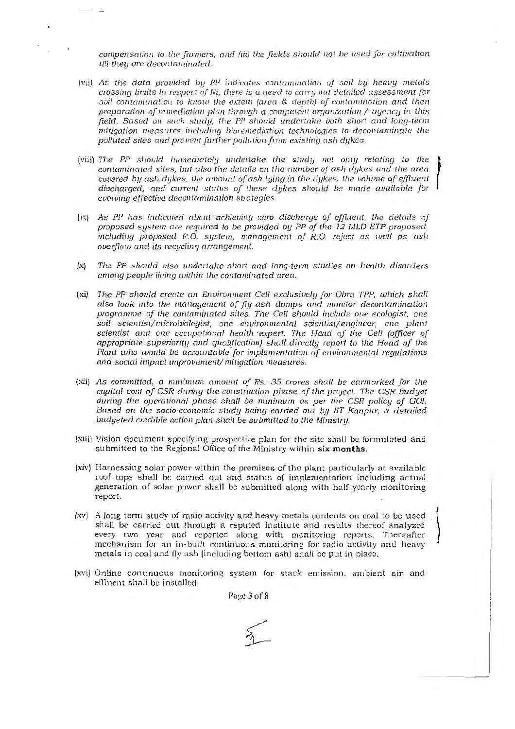compensation to the farmers, and fiii) the fields should not be used for cultivation *till they are decontaminated.* 

- (vii) As the data provided by PP indicates contamination of soil by heavy metals crossing limits in respect of Ni, there is a need to carry out detailed assessment for  $\overline{1}$  contamination to know the extent (area & depth) of contamination and then preparation of remediation plan through a competent organization / agency in this field. Based on such study, the PP should undertake both short and long-term mitigation measures including bioremediation technologies to decontaminate the polluted sites and prevent further pollution from existing ash dykes.
- penature enter and prevent junior penaturity on the magnetic.<br>(viii) The PP should immediately undertake the study not only relating to the 1 contaminated sites, but also the details on the number of ash dykes and the area covered by ash dykes, the amount of ash lying in the dykes, the volume of effluent discharged, and current status of these dykes should be made available for evolving effective decontamination strategies.
- (ix) As PP has indicated about achieving zero discharge of effluent, the details of proposed system are required to be provided by PP of the 12 MLD ETP proposed,  $including$  proposed R.O. system, management of R.O. reject as well as ash overflow and its recycling arrangement.
- $(x)$ The PP should also undertake short and long-term studies on health disorders among people living within the contaminated area.
- (xi) The PP should create an Environment Cell exclusively for Obra TPP, which shall also look into the management of fly ash dumps and monitor decontamination programme of the contaminated sites. The Cell should include one ecologist, one soil scientist/microbiologist, one environmental scientist/engineer, one plant scientist and one occupational health expert. The Head of the Cell (officer of appropriate superiority and qualification) shall directly report to the Head of the Plant who would be accountable for implementation of environmental regulations and social impact improvement/ mitigation measures.
- (xii) As committed, a minimum amount of Rs. 35 crores shall be earmarked for the capital cost of CSR during lhe construction phase of the project. The CSR budget during the operational phase shall be minimum as per the CSR policy of GOI. Based on the socio-economic study being carried out by IIT Kanpur, a detailed budgeted credible action plan shall be submitted to the Ministry.
- (xiii) Vision document specifying prospective plan for the site shall be formulated and submitted to the Regional Office of the Ministry within **six months.**
- (xiv) Harnessing solar power within the premises of the plant particularly at available roof tops shall be carried out and status of implementation including actual generation of solar power shall be submitted along with half yearly monitoring report.
- (xv) A long term study of radio activity and heavy metals contents on coal to be used shall be carried out through a reputed institute and results thereof analyzed every two year and reported along with monitoring reports. Thereafter mechanism for an in-built continuous monitoring for radio activity and heavy metals in coal and fly ash (including bottom ash) shall be put in place.
- (xvi) Online continuous monitoring system for stack emission, ambient air and effluent shall be installed.

Page 3 of 8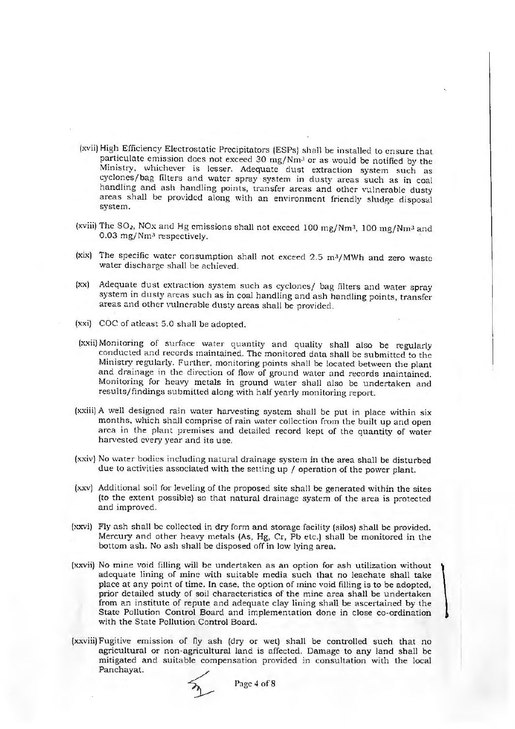- (xvii) High Efficiency Electrostatic Precipitators (ESPs) shall be installed to ensure that particulate emission does not exceed 30 mg/Nm3 or as would be notified by the Ministry, whichever is lesser. Adequate dust extraction system such as cyclones/bag filters and water spray ·system in dusty areas such as in coal handling and ash handling points, transfer areas and other vulnerable dusty areas shall be provided along with an environment friendly sludge disposal system.
- (xviii) The  $SO_2$ , NOx and Hg emissions shall not exceed 100 mg/Nm<sup>3</sup>, 100 mg/Nm<sup>3</sup> and  $0.03$  mg/Nm<sup>3</sup> respectively.
- (xix) The specific water consumption shall not exceed 2.5 m<sup>3</sup>/MWh and zero waste water discharge shall be achieved.
- (xx) Adequate dust extraction system such as cyclones/ bag filters and water spray system in dusty areas such as in coal handling and ash handling points, transfer areas and other vulnerable dusty areas shall be provided.
- (xxi) COC of atleast 5.0 shall be adopted.
- (xxii) Monitoring of surface water quantity and quality shall also be regularly conducted a nd records maintained. The monitored data shall be submitted to the Ministry regularly. Further, monitoring points shall be located between the plant and drainage in the direction of flow of ground water and records maintained. Monitoring for heavy metals in ground water shall also be undertaken and results/findings submitted along with half yearly monitoring report.
- (xxiii) A well designed rain water harvesting system shall be put in place within six months, which shall comprise of rain water collection from the built up and open area in the plant premises and detailed record kept of the quantity of water harvested every year and its use.
- (xxiv) No water bodies including natural drainage system in the area shall be disturbed due to activities associated with the setting up / operation of the power plant.
- (xxv) Additional soil for leveling of the proposed site shall be generated within the sites (to the extent possible) so that natural drainage system of the area is protected and improved.
- (xxvi) Fly ash shall be collected in dry form and storage facility (silos) shall be provided. Mercury and other heavy metals (As, Hg, Cr, Pb etc.) shall be monitored in the bottom ash. No ash shall be disposed off in low lying area.
- (xxvii) No mine void filling will be undertaken as an option for ash utilization without adequate lining of mine with suitable media such that no leachate shall take place at any point of time. In case. the option of mine void filling is to be adopted, prior detailed study of soil characteristics of the mine nrea shall be undertaken from an institute of repute and adequate clay lining shall be ascertained by the State Pollution Control Board and implementation done in close co-ordination with the State Pollution Control Board.
- (x:xviii) Fugitive emission of ny ash (dry or wet) shall be controlled such that no agricultural or non-agricultural land is affected. Damage to any land shall be mitigated and suitable compensation provided in consultation with the local Panchayat.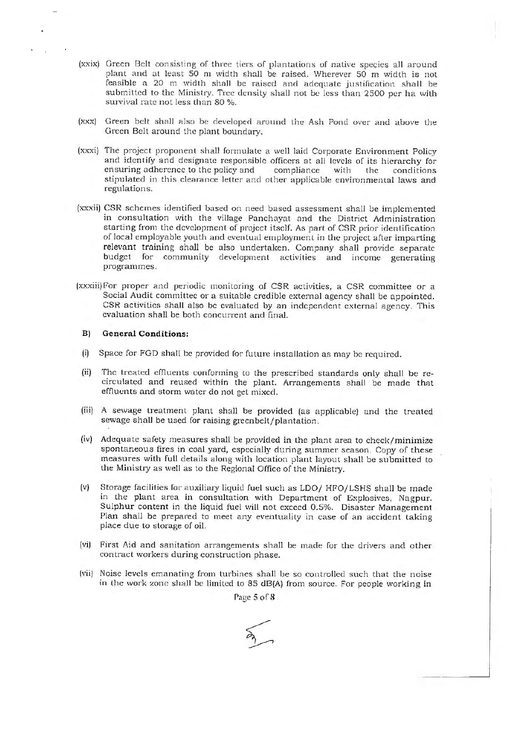- (xxix) Green Belt consisting of three tiers of plantations of native species all around plant and at least 50 m width shall be raised. Wherever 50 m width is not feasible a 20 m width shall be raised and adequate justification shall be submitted to the Ministry. Tree density shall not be less than 2500 per ha with survival rate not less than 80 %.
- (xxx) Green belt shall also be developed around the Ash Pond over and above the Green Belt around the plant boundary.
- (xxxi) The project proponent shall formulate a well laid Corporate Environment Policy and identify and designate responsible officers at all levels of its hierarchy for ensuring adherence to the policy and compliance with the conditions stipulated in this clearance letter and other applicable environmental laws and regulations.
- (xxxii) CSR schemes identified based on need based assessment shall be implemented in consultation with the village Panchayat and the District Administration starting from the development of project itself. As part of CSR prior identification of local employable youth and eventual employment in the project after imparting relevant training shall be also undertaken. Company shall provide separate budget for community development activities and income generating programmes.
- (xxxiii) For proper and periodic monitoring of CSR activities, a CSR committee or a Social Audit committee or a suitable credible external agency shall be appointed. CSR activities shall also be evaluated by an independent external agency. This evaluation shall be both concurrent and final.

## **B) General Conditions:**

- (i) Space for FGD shall be provided for future installation as may be required.
- (ii) The treated effluents conforming to the prescribed standards only shall be recirculated and reused within the plant. Arrangements shall be made that effluents and storm water do not get mixed.
- (iii) A sewage treatment plant shall be provided (as applicable) and the treated sewage shall be used for raising greenbelt/plantation.
- (iv) Adequate safety measures shall be provided in the plant area to check/minimize spontaneous fires in coal yard, especially during summer season. Copy of these measures with full details along with location plant layout shall be submitted to the Ministry as well as to the Regional Office of the Ministry.
- (v) Storage facilities for auxiliary liquid fuel such as LDO/ HFO/LSHS shall be made in the plant area in consultation with Department of Explosives, Nagpur. Sulphur content in the liquid fuel will not exceed 0.5%. Disaster Management Plan shall be prepared to meet any eventuality in case of an accident taking place due to storage of oil.
- (vi) First Aid and sanitation arrangements shall be made for the drivers and other contract workers during construction phase.
- (vii) Noise levels emanating from turbines shall be so controlled such that the noise in the work zone shall be limited to  $85 \text{ dB}(A)$  from source. For people working in

Page 5 of 8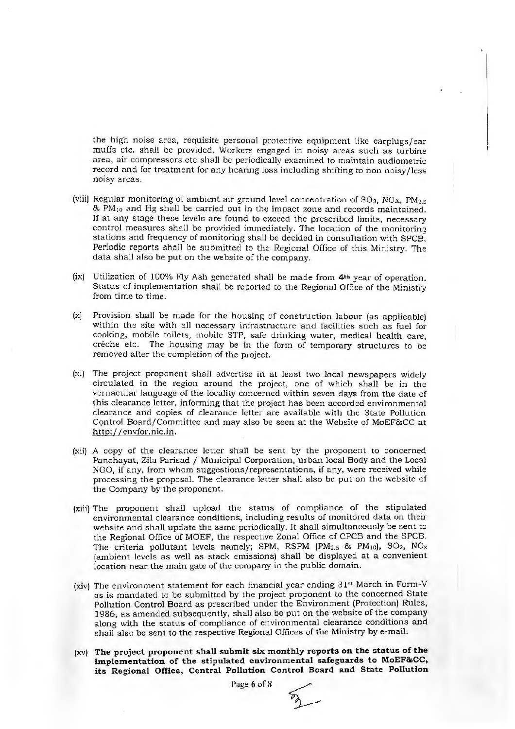the high noise area, requisite personal protective equipment like earplugs/ear muffs etc. shall be provided. Workers engaged in noisy areas such as turbine area, air compressors etc shall be periodically examined to maintain audiometric record and for treatment for any hearing loss including shifting to non noisy /less noisy areas.

- (viii) Regular monitoring of ambient air ground level concentration of  $SO_2$ ,  $NOX$ ,  $PM_{2,5}$  $\&$  PM $_{10}$  and Hg shall be carried out in the impact zone and records maintained. If at any stage these levels are found to exceed the prescribed limits, necessary control measures shall be provided immediately. The location of the monitoring stations and frequency of monitoring shall be decided in consultation with SPCB. Periodic reports shall be submitted to the Regional Office of this Ministry. The data shall also be put on the website of the company.
- (ix) Utilization of 100% Fly Ash generated shall be made from **4th** year of operation. Status of implementation shall be reported to the Regional Office of the Ministry from time to time.
- (x) Provision shall be made for the housing of construction labour {as applicable) within the site with all necessary infrastructure and facilities such as fuel for cooking, mobile toilets, mobile STP, safe drinking water, medical health care, crèche etc. The housing may be in the form of temporary structures to be removed after the completion of the project.
- (xi) The project proponent shall advertise in at least two local newspapers widely circulated in the region around the project, one of which shall be in the vernacular language of the locality concerned within seven days from the date of this clearance letter, informing that the project has been accorded environmental clearnnce and copies of clearance letter are available with the State Pollution Control Board/Committee and may also be seen at the Website of MoEF&CC at http: //envfor.nic.in.
- (xii) A copy of the clearance letter shall be sent by the proponent to concerned Panchayat, Zila Parisad / Municipal Corporation, urban local Body and the Local NGO, if any, from whom suggestions/representations, if any, were received while processing the proposal. The clearance letter shall also be put on the website of the Company by the proponent.
- (xiii) The proponent shall upload the status of compliance of the stipulated environmental clearance conditions, including results of monitored data on their website and shall update the same periodically. It shall simultaneously be sent to the Regional Office of MOEF, the respective Zonal Office of CPCB and the SPCB. The criteria pollutant levels namely; SPM, RSPM  $(PM_{2.5}$  & PM<sub>10</sub>), SO<sub>2</sub>, NO<sub>x</sub> {ambient levels as well as stack emissions) shall be displayed at a convenient location near the main gate of the company in the public domain.
- (xiv) The environment statement for each financial year ending 31st March in Form-V as is mandated to be submitted by the project proponent to the concerned State Pollution Control Board as prescribed under the Environment (Protection) Rules, 1986, as amended subsequently, shall also be put on the website of the company along with the status of compliance of environmental clearance conditions and shall also be sent to the respective Regional Offices of the Ministry by e-mail.
- (xv) **The project proponent shall submit six monthly reports on the status of the implementation of the stipulated environmental safeguards to MoEF&CC, its Regional Office, Central Pollution Control Board and State Pollution**

Page 6 of **8**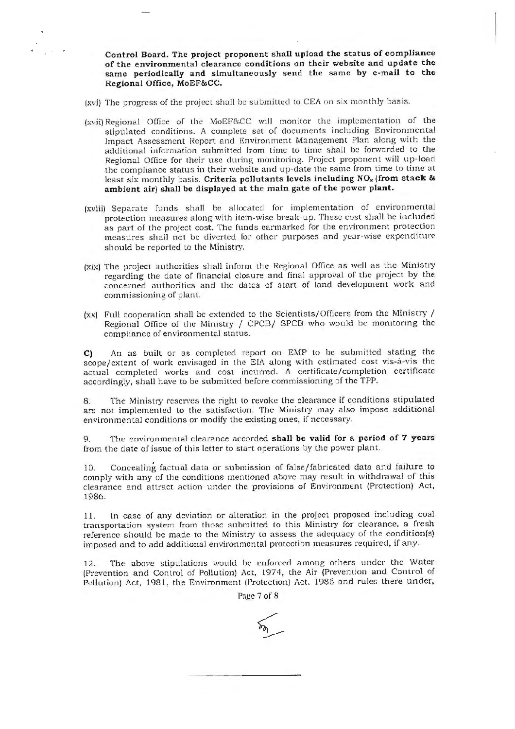**Control Board. The project proponent s hall upload the status of compliance of the e nvironmenta l clearance conditions on their website and update the same periodically and simultaneously send the same by e-mail to the Regional Office, MoEF&CC.** 

(xvi) The progress of the project shall be submitted to CEA on six monthly basis.

- (xvii) Regional Office of the MoEF&CC will monitor the implementation of the stipulated conditions. A complete set of documents including Environmental Impact Assessment Report and Environment Management Plan along with the additional in formation submitted from time to time shall be forwarded to the Regional Office for their use during monitoring. Project proponent will up-load the compliance status in their website and up-date the same from time to time at least six monthly basis. **Criteria pollutants levels including NO,. (from stack** & **ambient air) shall be displayed at the main gate of the power plant.**
- (xviii) Separate funds shall be allocated for implementation of environmental protection measures along with item-wise break-up. These cost shall be included as part of the project cost. The funds earmarked for the environment protection measures shall not be diverted for other purposes and year-wise expenditure should be reported to the Ministry.
- (xix) The project authorities shall inform the Regional Office as well as the Ministry regarding the date of financial closure and final approval of the project by the concerned authorities and the dates of start of land development work and commissioning of plant.
- $(xx)$  Full cooperation shall be extended to the Scientists/Officers from the Ministry / Regional Office of the Ministry / CPCB/ SPCB who would be monitoring the compliance of environmental status.

C) An as built or as completed report on EMP to be submitted stating the scope/extent of work envisaged in the EIA along with estimated cost vis-a-vis the actual completed works and cost incurred. A certificate/completion certificate accordingly, shall have to be submitted before commissioning of the TPP.

The Ministry reserves the right to revoke the clearance if conditions stipulated are not implemented to the satisfaction. The Ministry may also impose additional environmental conditions or modify the existing ones, if necessary.

9. Tht: environmental clearance accorded **shall be valid for a period of 7 years**  from the date of issue of this letter to start operations by the power plant.

10. Concealing factual data or submission of false/fabricated data and failure to comply with any of the conditions mentioned above may result in withdrawal of this clearance and attract action under the provisions of Environment (Protection) Act, 1986.

11. In case of any deviation or alteration in the project proposed including coal transportation system from those submitted to this Ministry for clearance, a fresh reference should be made to the Ministry to assess the adequacy of the condition(s) imposed and to add additional environmental protection measures required, if any.

The above stipulations would be enforced among others under the Water (Prevention and Control of Pollution) Act, 1974, the Air (Prevention and Control of Pollution) Act, 1981, the Environment (Protection) Act, 1986 and rules there under,

Page 7 of 8